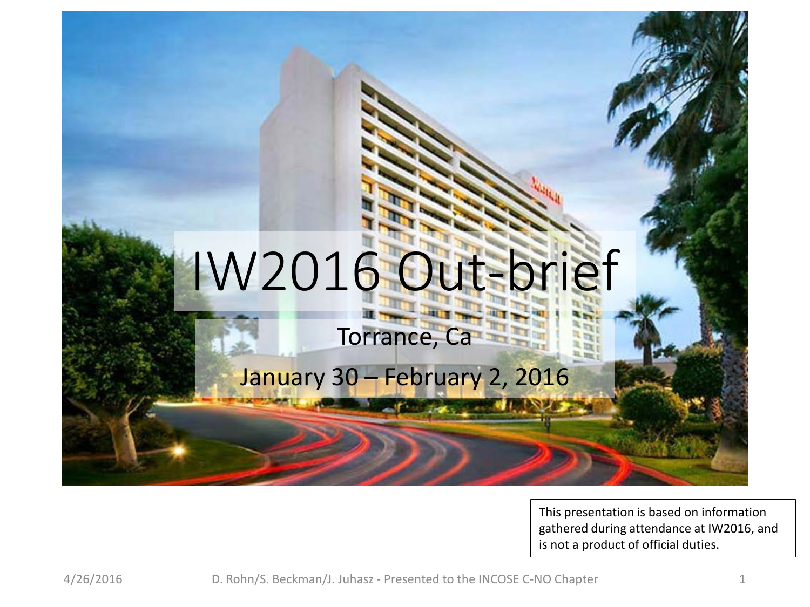

This presentation is based on information gathered during attendance at IW2016, and is not a product of official duties.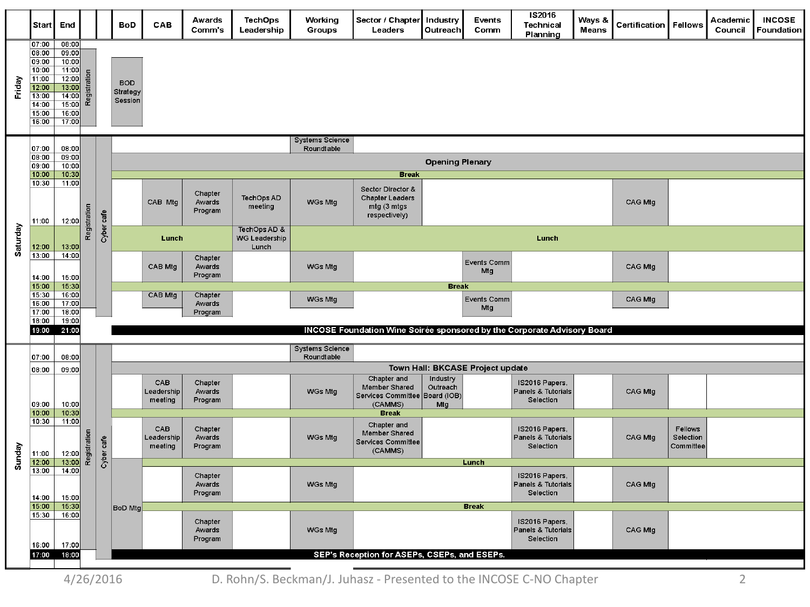|          | Start                                                                                  | End                                                                                       |                                      |            | <b>BoD</b>                        | CAB                          | Awards<br>Comm's             | <b>TechOps</b><br>Leadership                  | Working<br>Groups                    | Sector / Chapter<br>Leaders                                                            | Industry<br>Outreach        | Events<br>Comm            | IS2016<br>Technical<br>Planning                   | Ways &<br><b>Means</b> | Certification | Fellows                           | Academic<br>Council | <b>INCOSE</b><br>Foundation |
|----------|----------------------------------------------------------------------------------------|-------------------------------------------------------------------------------------------|--------------------------------------|------------|-----------------------------------|------------------------------|------------------------------|-----------------------------------------------|--------------------------------------|----------------------------------------------------------------------------------------|-----------------------------|---------------------------|---------------------------------------------------|------------------------|---------------|-----------------------------------|---------------------|-----------------------------|
| Friday   | 07:00<br>08:00<br>09:00<br>10:00<br>11:00<br>12:00<br>13:00<br>14:00<br>15:00<br>16:00 | 08:00<br>09:00<br>10:00<br>11:00<br>12:00<br>13:00<br>14:00<br>15:00<br>16:00<br>17:00    | Registration                         |            | <b>BOD</b><br>Strategy<br>Session |                              |                              |                                               |                                      |                                                                                        |                             |                           |                                                   |                        |               |                                   |                     |                             |
|          | 07:00                                                                                  | 08:00<br>09:00<br>10:00                                                                   |                                      |            |                                   |                              |                              |                                               | <b>Systems Science</b><br>Roundtable |                                                                                        |                             |                           |                                                   |                        |               |                                   |                     |                             |
|          | 08:00<br>09:00                                                                         |                                                                                           |                                      |            |                                   |                              |                              |                                               | <b>Opening Plenary</b>               |                                                                                        |                             |                           |                                                   |                        |               |                                   |                     |                             |
|          | 10:00<br>10:30                                                                         | 10:30<br>11:00                                                                            |                                      |            |                                   |                              | Chapter<br>Awards<br>Program | TechOps AD<br>meeting                         |                                      | <b>Break</b>                                                                           |                             |                           |                                                   |                        |               |                                   |                     |                             |
|          | 11:00                                                                                  | 12:00                                                                                     | Registration                         |            |                                   | CAB Mtg                      |                              |                                               | WGs Mtg                              | <b>Sector Director &amp;</b><br><b>Chapter Leaders</b><br>mtg (3 mtgs<br>respectively) |                             |                           |                                                   |                        | CAG Mtg       |                                   |                     |                             |
| Saturday | 12:00                                                                                  | 13:00                                                                                     |                                      | Cyber cafe |                                   | Lunch                        |                              | TechOps AD &<br><b>WG Leadership</b><br>Lunch |                                      |                                                                                        |                             |                           | Lunch                                             |                        |               |                                   |                     |                             |
|          | 13:00<br>14:00                                                                         | 14:00<br>15:00                                                                            |                                      |            |                                   | CAB Mtg                      | Chapter<br>Awards<br>Program |                                               | WGs Mtg                              |                                                                                        |                             | Events Comm<br>Mtg        |                                                   |                        | CAG Mtg       |                                   |                     |                             |
|          | 15:00<br>15:30                                                                         | 15:30<br>16:00                                                                            |                                      |            |                                   | CAB Mtg                      | Chapter                      |                                               |                                      |                                                                                        | <b>Break</b>                |                           |                                                   |                        |               |                                   |                     |                             |
|          | 16:00<br>17:00                                                                         | 17:00<br>18:00                                                                            |                                      |            |                                   |                              | Awards<br>Program            |                                               | WGs Mtg                              |                                                                                        |                             | <b>Events Comm</b><br>Mtg |                                                   |                        | CAG Mtg       |                                   |                     |                             |
|          | 18:00<br>19:00                                                                         | 19:00<br>INCOSE Foundation Wine Soirée sponsored by the Corporate Advisory Board<br>21:00 |                                      |            |                                   |                              |                              |                                               |                                      |                                                                                        |                             |                           |                                                   |                        |               |                                   |                     |                             |
|          | 07:00                                                                                  | 08:00                                                                                     | <b>Systems Science</b><br>Roundtable |            |                                   |                              |                              |                                               |                                      |                                                                                        |                             |                           |                                                   |                        |               |                                   |                     |                             |
|          | 08:00                                                                                  | 09:00                                                                                     |                                      |            | Town Hall: BKCASE Project update  |                              |                              |                                               |                                      |                                                                                        |                             |                           |                                                   |                        |               |                                   |                     |                             |
|          | 09:00                                                                                  | 10:00                                                                                     | Registration                         |            |                                   | CAB<br>Leadership<br>meeting | Chapter<br>Awards<br>Program |                                               | WGs Mtg                              | Chapter and<br>Member Shared<br>Services Committee Board (IOB)<br>(CAMMS)              | Industry<br>Outreach<br>Mtg |                           | IS2016 Papers,<br>Panels & Tutorials<br>Selection |                        | CAG Mtg       |                                   |                     |                             |
|          | 10:00<br>10:30                                                                         | 10:30<br>11:00                                                                            |                                      |            |                                   |                              |                              |                                               |                                      | <b>Break</b><br>Chapter and                                                            |                             |                           |                                                   |                        |               |                                   |                     |                             |
| Sunday   | 11:00                                                                                  | 12:00                                                                                     |                                      | Cyber cafe |                                   | CAB<br>Leadership<br>meeting | Chapter<br>Awards<br>Program |                                               | WGs Mtg                              | Member Shared<br>Services Committee<br>(CAMMS)                                         |                             |                           | IS2016 Papers,<br>Panels & Tutorials<br>Selection |                        | CAG Mtg       | Fellows<br>Selection<br>Committee |                     |                             |
|          | 12:00<br>13:00                                                                         | 13:00<br>14:00                                                                            |                                      |            |                                   |                              |                              |                                               |                                      |                                                                                        |                             | Lunch                     |                                                   |                        |               |                                   |                     |                             |
|          | 14:00                                                                                  | 15:00                                                                                     |                                      |            |                                   |                              | Chapter<br>Awards<br>Program |                                               | WGs Mtg                              |                                                                                        |                             |                           | IS2016 Papers,<br>Panels & Tutorials<br>Selection |                        | CAG Mtg       |                                   |                     |                             |
|          | 15:00<br>15:30                                                                         | 15:30<br>16:00                                                                            |                                      |            | <b>BoD Mtg</b>                    |                              |                              |                                               |                                      |                                                                                        |                             | <b>Break</b>              |                                                   |                        |               |                                   |                     |                             |
|          | 16:00                                                                                  | 17:00                                                                                     |                                      |            |                                   |                              | Chapter<br>Awards<br>Program |                                               | WGs Mtg                              |                                                                                        |                             |                           | IS2016 Papers,<br>Panels & Tutorials<br>Selection |                        | CAG Mtg       |                                   |                     |                             |
|          | 17:00                                                                                  | 18:00                                                                                     |                                      |            |                                   |                              |                              |                                               |                                      | SEP's Reception for ASEPs, CSEPs, and ESEPs.                                           |                             |                           |                                                   |                        |               |                                   |                     |                             |
|          |                                                                                        |                                                                                           |                                      |            |                                   |                              |                              |                                               |                                      |                                                                                        |                             |                           |                                                   |                        |               |                                   |                     |                             |

4/26/2016 D. Rohn/S. Beckman/J. Juhasz - Presented to the INCOSE C-NO Chapter 2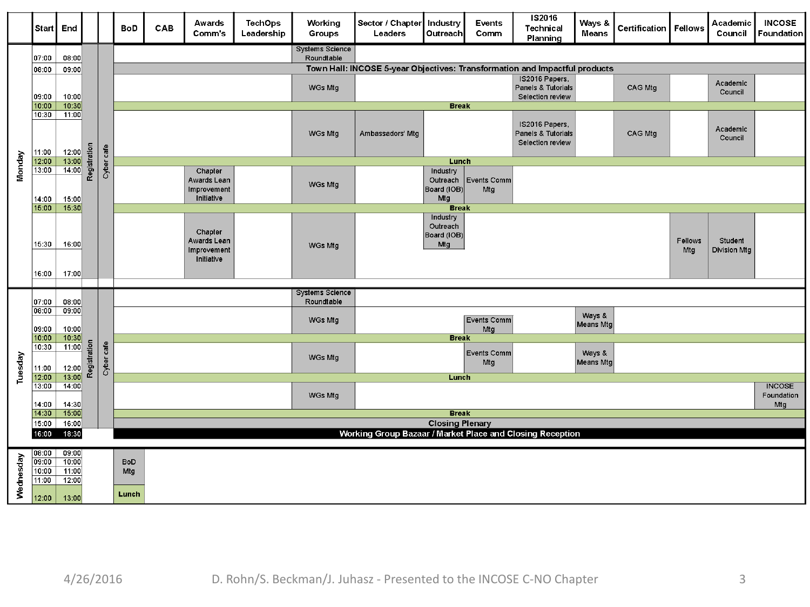|           | Start                                     | End                                       |              |                                                           | <b>BoD</b>                 | CAB                                                 | Awards<br>Comm's                                    | <b>TechOps</b><br>Leadership | Working<br><b>Groups</b>             | Sector / Chapter   Industry<br>Leaders                                     | <b>Outreach</b>                            | Events<br>Comm     | IS2016<br><b>Technical</b><br>Planning                   | Ways &<br><b>Means</b> | Certification   Fellows        |  | Academic<br>Council | <b>INCOSE</b><br>Foundation        |  |  |  |  |  |  |  |  |  |  |  |  |  |  |  |         |  |  |                           |  |                     |  |  |  |
|-----------|-------------------------------------------|-------------------------------------------|--------------|-----------------------------------------------------------|----------------------------|-----------------------------------------------------|-----------------------------------------------------|------------------------------|--------------------------------------|----------------------------------------------------------------------------|--------------------------------------------|--------------------|----------------------------------------------------------|------------------------|--------------------------------|--|---------------------|------------------------------------|--|--|--|--|--|--|--|--|--|--|--|--|--|--|--|---------|--|--|---------------------------|--|---------------------|--|--|--|
|           | 07:00                                     | 08.00                                     |              |                                                           |                            |                                                     |                                                     |                              | <b>Systems Science</b><br>Roundtable |                                                                            |                                            |                    |                                                          |                        |                                |  |                     |                                    |  |  |  |  |  |  |  |  |  |  |  |  |  |  |  |         |  |  |                           |  |                     |  |  |  |
|           | 08:00                                     | 09:00                                     |              |                                                           |                            |                                                     |                                                     |                              |                                      | Town Hall: INCOSE 5-year Objectives: Transformation and Impactful products |                                            |                    |                                                          |                        |                                |  |                     |                                    |  |  |  |  |  |  |  |  |  |  |  |  |  |  |  |         |  |  |                           |  |                     |  |  |  |
|           | 09.00                                     | 10:00                                     |              |                                                           |                            |                                                     |                                                     |                              | WGs Mtg                              |                                                                            |                                            |                    | IS2016 Papers,<br>Panels & Tutorials<br>Selection review |                        | CAG Mtg                        |  | Academic<br>Council |                                    |  |  |  |  |  |  |  |  |  |  |  |  |  |  |  |         |  |  |                           |  |                     |  |  |  |
|           | 10:00<br>10:30                            | 10:30<br>11:00                            |              |                                                           |                            |                                                     |                                                     |                              |                                      |                                                                            | <b>Break</b>                               |                    |                                                          |                        |                                |  |                     |                                    |  |  |  |  |  |  |  |  |  |  |  |  |  |  |  |         |  |  |                           |  |                     |  |  |  |
|           | 11:00                                     | 12:00                                     | Registration |                                                           |                            |                                                     |                                                     |                              | WGs Mtg                              | Ambassadors' Mtg                                                           |                                            |                    | IS2016 Papers,<br>Panels & Tutorials<br>Selection review |                        | CAG Mtg                        |  | Academic<br>Council |                                    |  |  |  |  |  |  |  |  |  |  |  |  |  |  |  |         |  |  |                           |  |                     |  |  |  |
| Monday    | 12:00<br>13:00                            | 13:00<br>14:00                            |              | Cyber cafe                                                |                            |                                                     |                                                     |                              |                                      |                                                                            | Lunch                                      |                    |                                                          |                        |                                |  |                     |                                    |  |  |  |  |  |  |  |  |  |  |  |  |  |  |  |         |  |  |                           |  |                     |  |  |  |
|           | 14:00                                     | 15:00                                     |              |                                                           |                            |                                                     | Chapter<br>Awards Lean<br>Improvement<br>Initiative |                              | WGs Mtg                              |                                                                            | Industry<br>Outreach<br>Board (IOB)<br>Mtg | Events Comm<br>Mtg |                                                          |                        |                                |  |                     |                                    |  |  |  |  |  |  |  |  |  |  |  |  |  |  |  |         |  |  |                           |  |                     |  |  |  |
|           | 15:00                                     | 15:30                                     |              |                                                           |                            |                                                     |                                                     |                              |                                      |                                                                            | <b>Break</b><br>Industry                   |                    |                                                          |                        |                                |  |                     |                                    |  |  |  |  |  |  |  |  |  |  |  |  |  |  |  |         |  |  |                           |  |                     |  |  |  |
|           | 15:30                                     | 16:00                                     |              |                                                           |                            | Chapter<br>Awards Lean<br>Improvement<br>Initiative |                                                     | WGs Mtg                      | Board (IOB)                          |                                                                            |                                            |                    |                                                          | Fellows<br>Mtg         | Student<br><b>Division Mtg</b> |  |                     |                                    |  |  |  |  |  |  |  |  |  |  |  |  |  |  |  |         |  |  |                           |  |                     |  |  |  |
|           | 16:00                                     | 17:00                                     |              |                                                           |                            |                                                     |                                                     |                              |                                      |                                                                            |                                            |                    |                                                          |                        |                                |  |                     |                                    |  |  |  |  |  |  |  |  |  |  |  |  |  |  |  |         |  |  |                           |  |                     |  |  |  |
|           |                                           |                                           | Registration |                                                           |                            |                                                     |                                                     |                              | <b>Systems Science</b><br>Roundtable |                                                                            |                                            |                    |                                                          |                        |                                |  |                     |                                    |  |  |  |  |  |  |  |  |  |  |  |  |  |  |  |         |  |  |                           |  |                     |  |  |  |
|           | 07:00<br>08:00<br>09:00                   | 08:00<br>09:00<br>10:00                   |              | Cyber cafe                                                |                            |                                                     |                                                     |                              | WGs Mtg                              |                                                                            |                                            | Events Comm<br>Mtg |                                                          | Ways &<br>Means Mtg    |                                |  |                     |                                    |  |  |  |  |  |  |  |  |  |  |  |  |  |  |  |         |  |  |                           |  |                     |  |  |  |
|           | 10:00                                     | 10:30                                     |              |                                                           |                            |                                                     |                                                     |                              |                                      |                                                                            | <b>Break</b>                               |                    |                                                          |                        |                                |  |                     |                                    |  |  |  |  |  |  |  |  |  |  |  |  |  |  |  |         |  |  |                           |  |                     |  |  |  |
| Tuesday   | 10:30<br>11:00                            | 11:00<br>12:00                            |              |                                                           |                            |                                                     |                                                     |                              |                                      |                                                                            |                                            |                    |                                                          |                        |                                |  |                     |                                    |  |  |  |  |  |  |  |  |  |  |  |  |  |  |  | WGs Mtg |  |  | <b>Events Comm</b><br>Mtg |  | Ways &<br>Means Mtg |  |  |  |
|           | 12:00                                     | 13:00                                     |              |                                                           |                            |                                                     |                                                     |                              |                                      |                                                                            | Lunch                                      |                    |                                                          |                        |                                |  |                     |                                    |  |  |  |  |  |  |  |  |  |  |  |  |  |  |  |         |  |  |                           |  |                     |  |  |  |
|           | 13:00<br>14:00                            | 1400<br>14:30                             |              |                                                           |                            |                                                     |                                                     |                              | WGs Mtg                              |                                                                            |                                            |                    |                                                          |                        |                                |  |                     | <b>INCOSE</b><br>Foundation<br>Mtg |  |  |  |  |  |  |  |  |  |  |  |  |  |  |  |         |  |  |                           |  |                     |  |  |  |
|           | 14:30<br>15:00                            | 15:00<br>16:00                            |              | <b>Break</b><br><b>Closing Plenary</b>                    |                            |                                                     |                                                     |                              |                                      |                                                                            |                                            |                    |                                                          |                        |                                |  |                     |                                    |  |  |  |  |  |  |  |  |  |  |  |  |  |  |  |         |  |  |                           |  |                     |  |  |  |
|           | 16:00                                     | 18:30                                     |              | Working Group Bazaar / Market Place and Closing Reception |                            |                                                     |                                                     |                              |                                      |                                                                            |                                            |                    |                                                          |                        |                                |  |                     |                                    |  |  |  |  |  |  |  |  |  |  |  |  |  |  |  |         |  |  |                           |  |                     |  |  |  |
|           |                                           |                                           |              |                                                           |                            |                                                     |                                                     |                              |                                      |                                                                            |                                            |                    |                                                          |                        |                                |  |                     |                                    |  |  |  |  |  |  |  |  |  |  |  |  |  |  |  |         |  |  |                           |  |                     |  |  |  |
| Wednesday | 08:00<br>09:00<br>10:00<br>11:00<br>12:00 | 09.00<br>10:00<br>11:00<br>12:00<br>13:00 |              |                                                           | <b>BoD</b><br>Mtg<br>Lunch |                                                     |                                                     |                              |                                      |                                                                            |                                            |                    |                                                          |                        |                                |  |                     |                                    |  |  |  |  |  |  |  |  |  |  |  |  |  |  |  |         |  |  |                           |  |                     |  |  |  |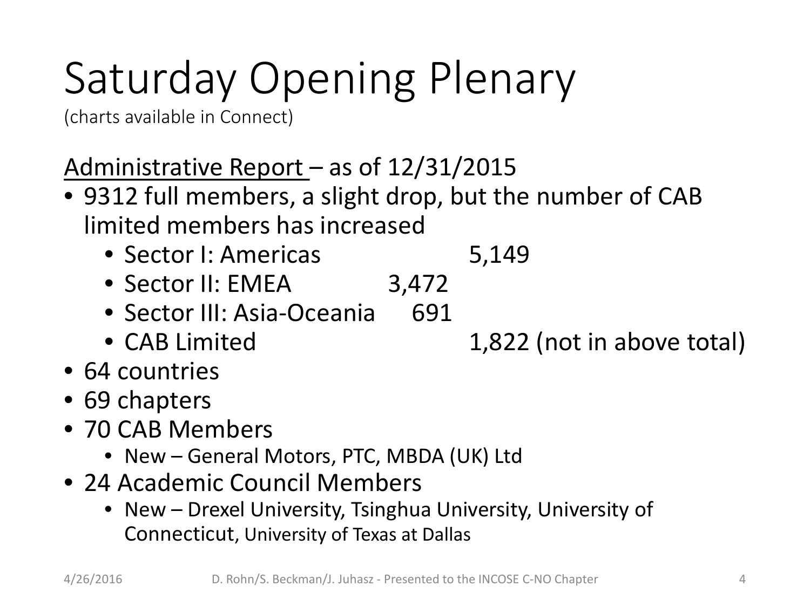(charts available in Connect)

Administrative Report – as of 12/31/2015

- 9312 full members, a slight drop, but the number of CAB limited members has increased
	- Sector I: Americas 5,149
	- Sector II: EMEA 3,472
	- Sector III: Asia-Oceania 691
	-
- 64 countries
- 69 chapters
- 70 CAB Members
	- New General Motors, PTC, MBDA (UK) Ltd
- 24 Academic Council Members
	- New Drexel University, Tsinghua University, University of Connecticut, University of Texas at Dallas

• CAB Limited 1,822 (not in above total)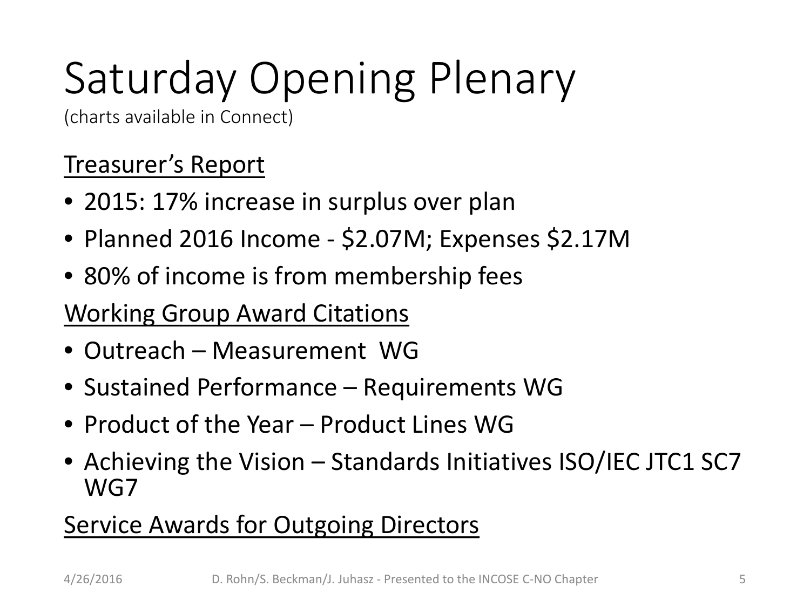(charts available in Connect)

#### Treasurer's Report

- 2015: 17% increase in surplus over plan
- Planned 2016 Income \$2.07M; Expenses \$2.17M
- 80% of income is from membership fees

#### Working Group Award Citations

- Outreach Measurement WG
- Sustained Performance Requirements WG
- Product of the Year Product Lines WG
- Achieving the Vision Standards Initiatives ISO/IEC JTC1 SC7 WG7

#### **Service Awards for Outgoing Directors**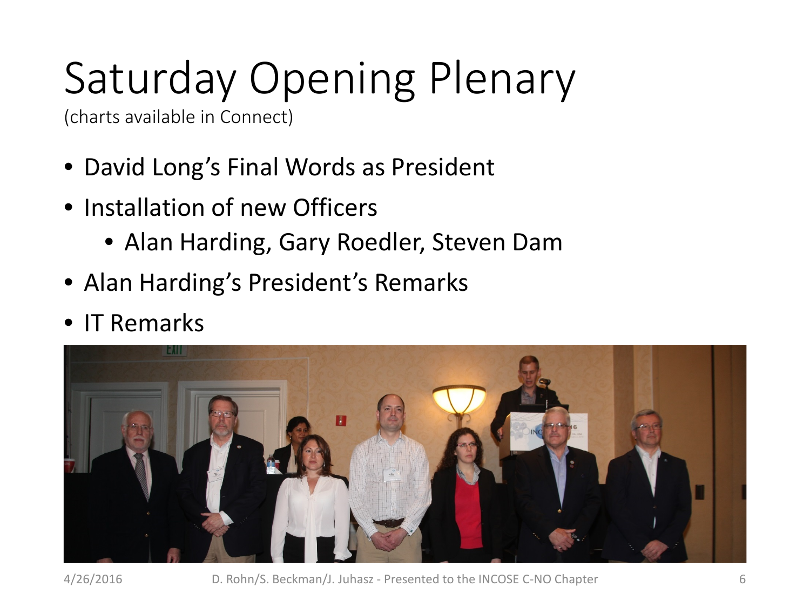(charts available in Connect)

- David Long's Final Words as President
- Installation of new Officers
	- Alan Harding, Gary Roedler, Steven Dam
- Alan Harding's President's Remarks
- **IT Remarks**

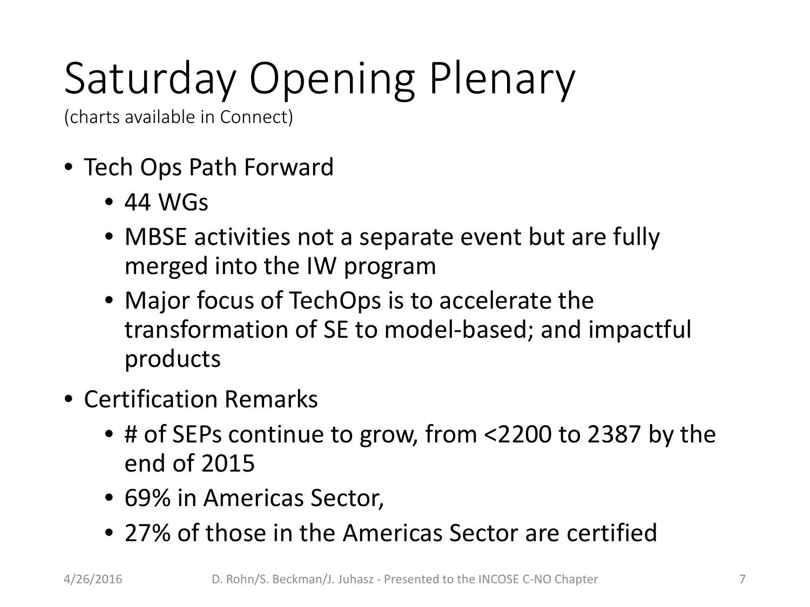(charts available in Connect)

- Tech Ops Path Forward
	- $\bullet$  44 WGs
	- MBSE activities not a separate event but are fully merged into the IW program
	- Major focus of TechOps is to accelerate the transformation of SE to model-based; and impactful products
- Certification Remarks
	- # of SEPs continue to grow, from <2200 to 2387 by the end of 2015
	- 69% in Americas Sector,
	- 27% of those in the Americas Sector are certified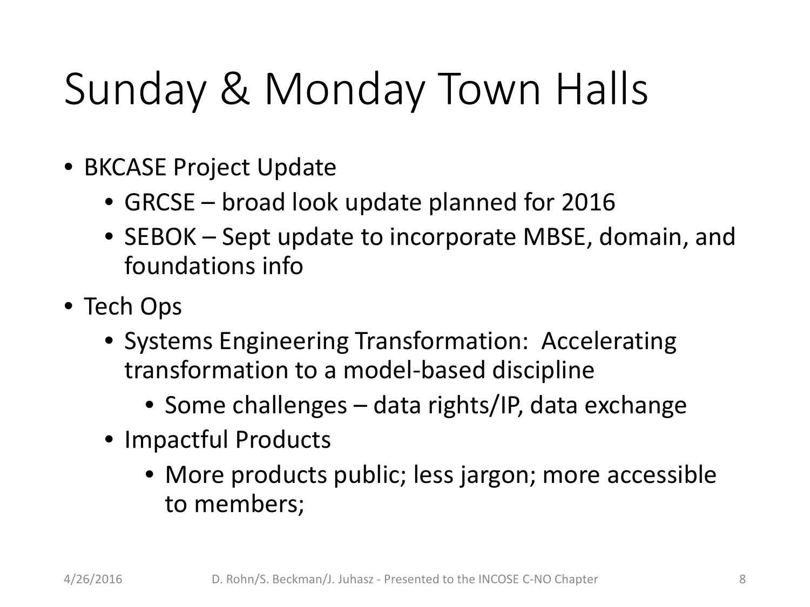## Sunday & Monday Town Halls

- BKCASE Project Update
	- GRCSE broad look update planned for 2016
	- SEBOK Sept update to incorporate MBSE, domain, and foundations info
- Tech Ops
	- Systems Engineering Transformation: Accelerating transformation to a model-based discipline
		- Some challenges data rights/IP, data exchange
	- Impactful Products
		- More products public; less jargon; more accessible to members;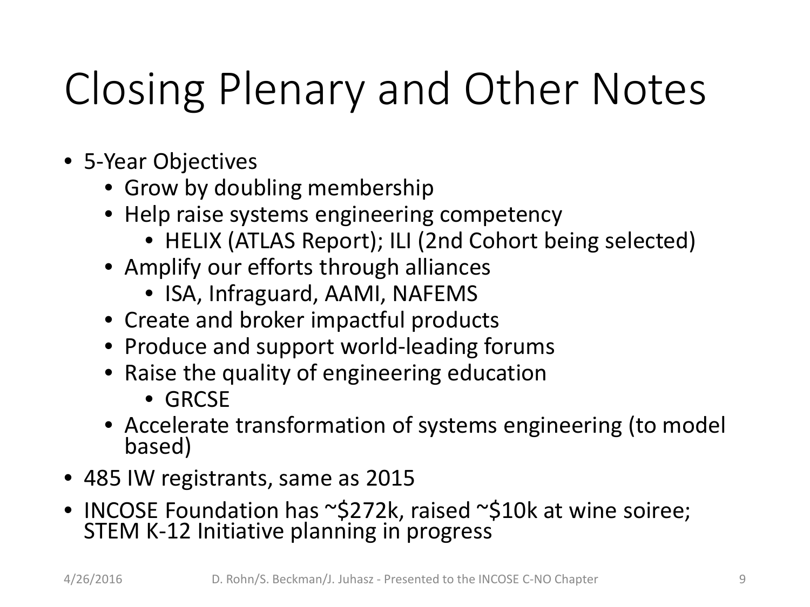# Closing Plenary and Other Notes

- 5-Year Objectives
	- Grow by doubling membership
	- Help raise systems engineering competency
		- HELIX (ATLAS Report); ILI (2nd Cohort being selected)
	- Amplify our efforts through alliances
		- ISA, Infraguard, AAMI, NAFEMS
	- Create and broker impactful products
	- Produce and support world-leading forums
	- Raise the quality of engineering education
		- GRCSE
	- Accelerate transformation of systems engineering (to model based)
- 485 IW registrants, same as 2015
- INCOSE Foundation has ~\$272k, raised ~\$10k at wine soiree; STEM K-12 Initiative planning in progress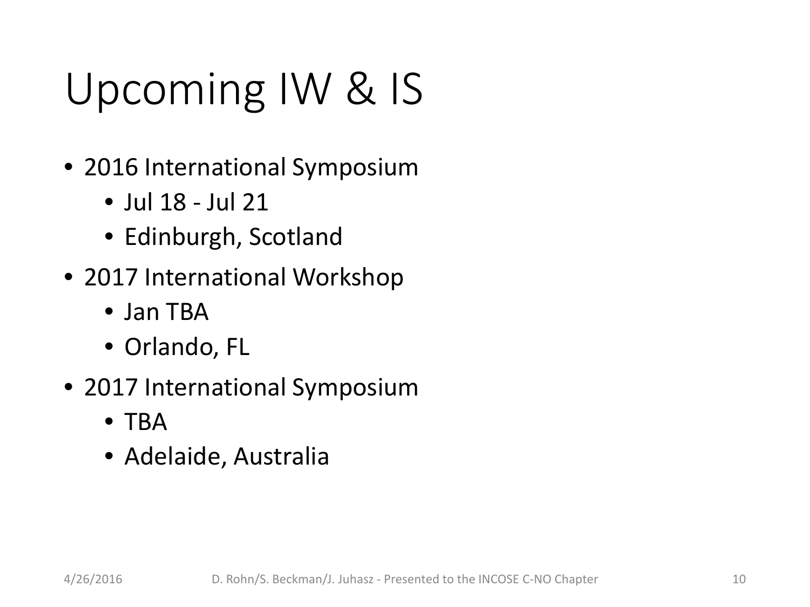## Upcoming IW & IS

- 2016 International Symposium
	- Jul 18 Jul 21
	- Edinburgh, Scotland
- 2017 International Workshop
	- Jan TBA
	- Orlando, FL
- 2017 International Symposium
	- TBA
	- Adelaide, Australia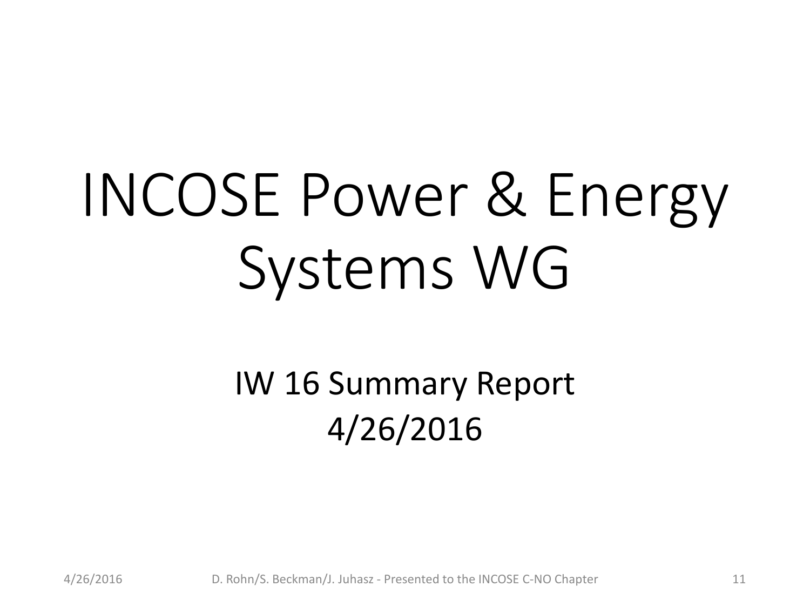# INCOSE Power & Energy Systems WG

IW 16 Summary Report 4/26/2016

4/26/2016 D. Rohn/S. Beckman/J. Juhasz - Presented to the INCOSE C-NO Chapter 11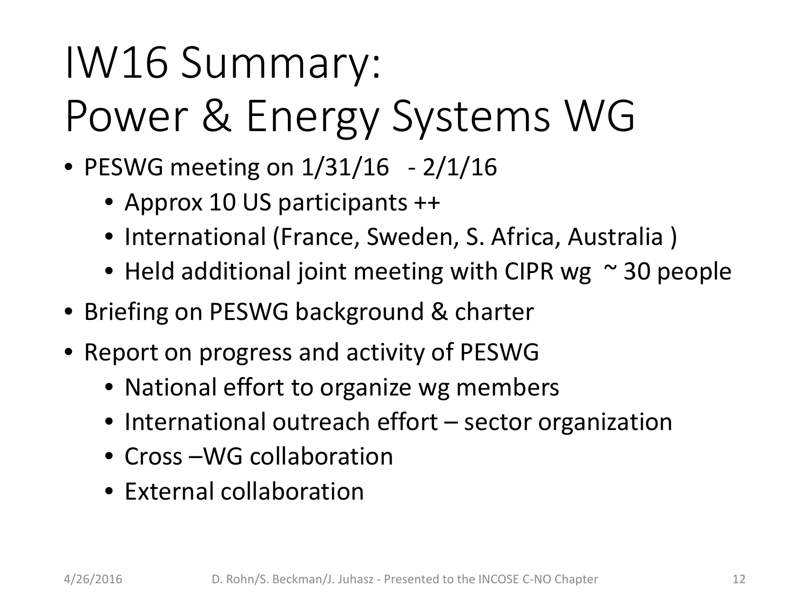# IW16 Summary: Power & Energy Systems WG

- PESWG meeting on  $1/31/16$  2/1/16
	- Approx 10 US participants ++
	- International (France, Sweden, S. Africa, Australia)
	- Held additional joint meeting with CIPR wg  $\sim$  30 people
- Briefing on PESWG background & charter
- Report on progress and activity of PESWG
	- National effort to organize wg members
	- International outreach effort sector organization
	- Cross WG collaboration
	- External collaboration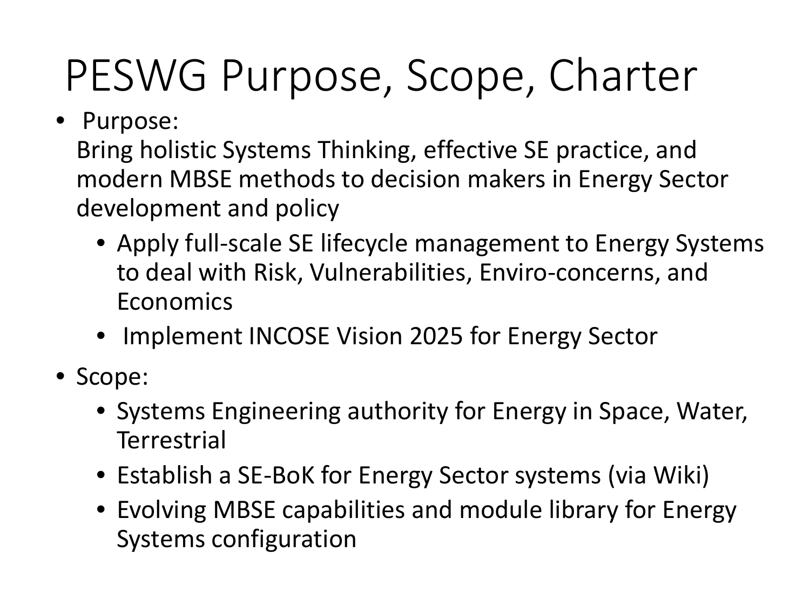## PESWG Purpose, Scope, Charter

• Purpose:

Bring holistic Systems Thinking, effective SE practice, and modern MBSE methods to decision makers in Energy Sector development and policy

- Apply full-scale SE lifecycle management to Energy Systems to deal with Risk, Vulnerabilities, Enviro-concerns, and Economics
- Implement INCOSE Vision 2025 for Energy Sector
- Scope:
	- Systems Engineering authority for Energy in Space, Water, **Terrestrial**
	- Establish a SE-BoK for Energy Sector systems (via Wiki)
	- Evolving MBSE capabilities and module library for Energy Systems configuration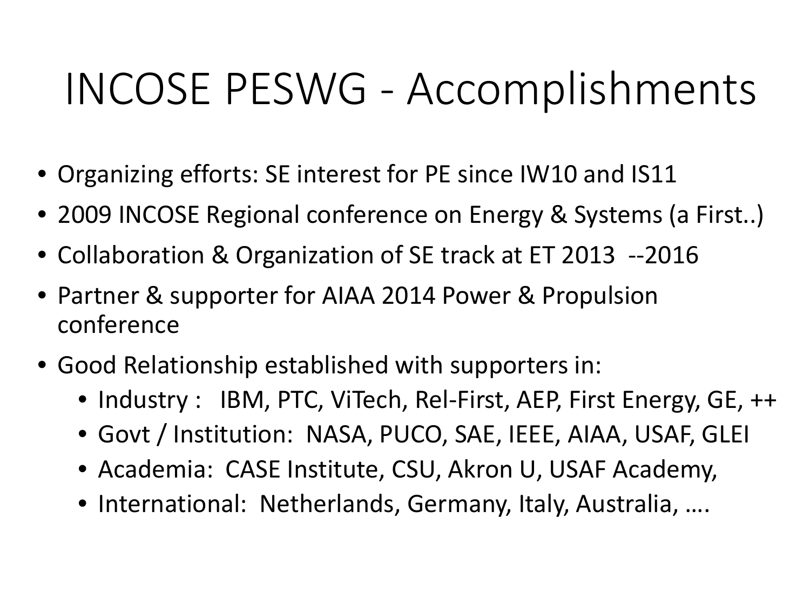### INCOSE PESWG - Accomplishments

- Organizing efforts: SE interest for PE since IW10 and IS11
- 2009 INCOSE Regional conference on Energy & Systems (a First..)
- Collaboration & Organization of SE track at ET 2013 --2016
- Partner & supporter for AIAA 2014 Power & Propulsion conference
- Good Relationship established with supporters in:
	- Industry : IBM, PTC, ViTech, Rel-First, AEP, First Energy, GE, ++
	- Govt / Institution: NASA, PUCO, SAE, IEEE, AIAA, USAF, GLEI
	- Academia: CASE Institute, CSU, Akron U, USAF Academy,
	- International: Netherlands, Germany, Italy, Australia, ….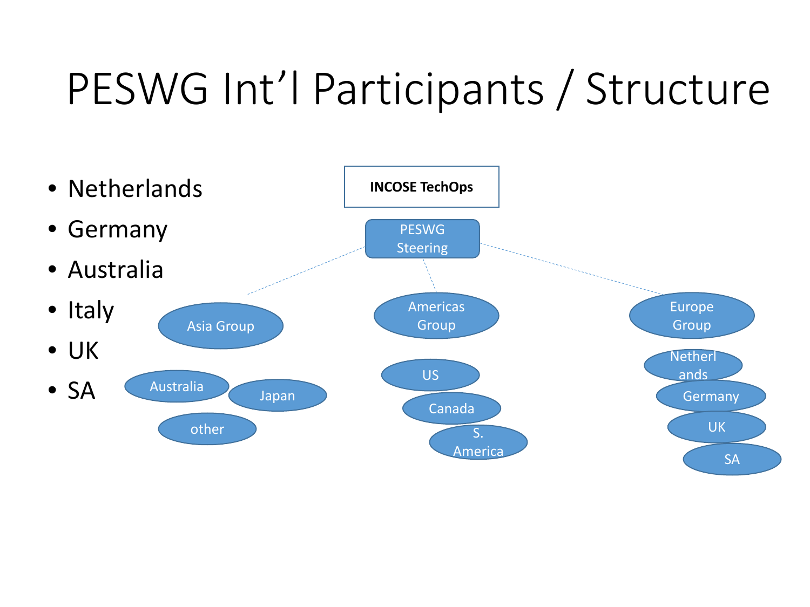### PESWG Int'l Participants / Structure

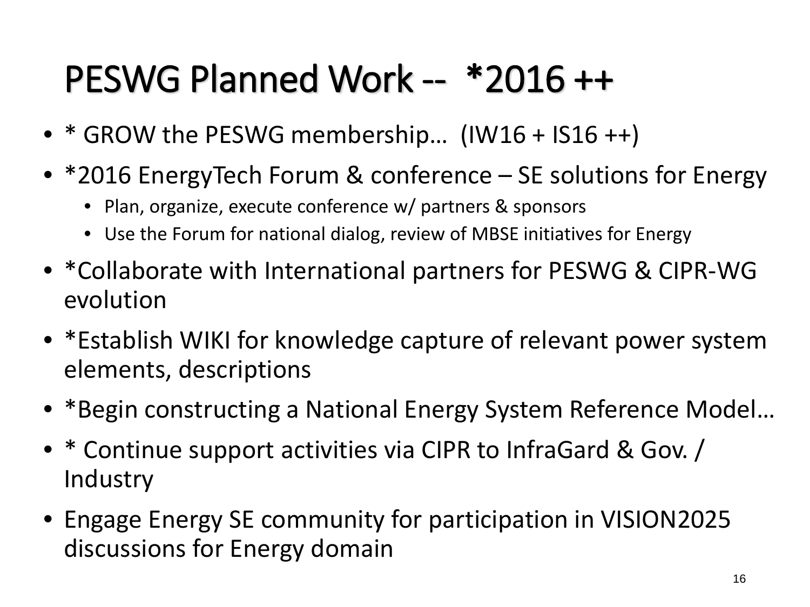#### PESWG Planned Work -- \*2016 ++

- \* GROW the PESWG membership… (IW16 + IS16 ++)
- \*2016 EnergyTech Forum & conference SE solutions for Energy
	- Plan, organize, execute conference w/ partners & sponsors
	- Use the Forum for national dialog, review of MBSE initiatives for Energy
- \*Collaborate with International partners for PESWG & CIPR-WG evolution
- \*Establish WIKI for knowledge capture of relevant power system elements, descriptions
- \*Begin constructing a National Energy System Reference Model…
- \* Continue support activities via CIPR to InfraGard & Gov. / **Industry**
- Engage Energy SE community for participation in VISION2025 discussions for Energy domain